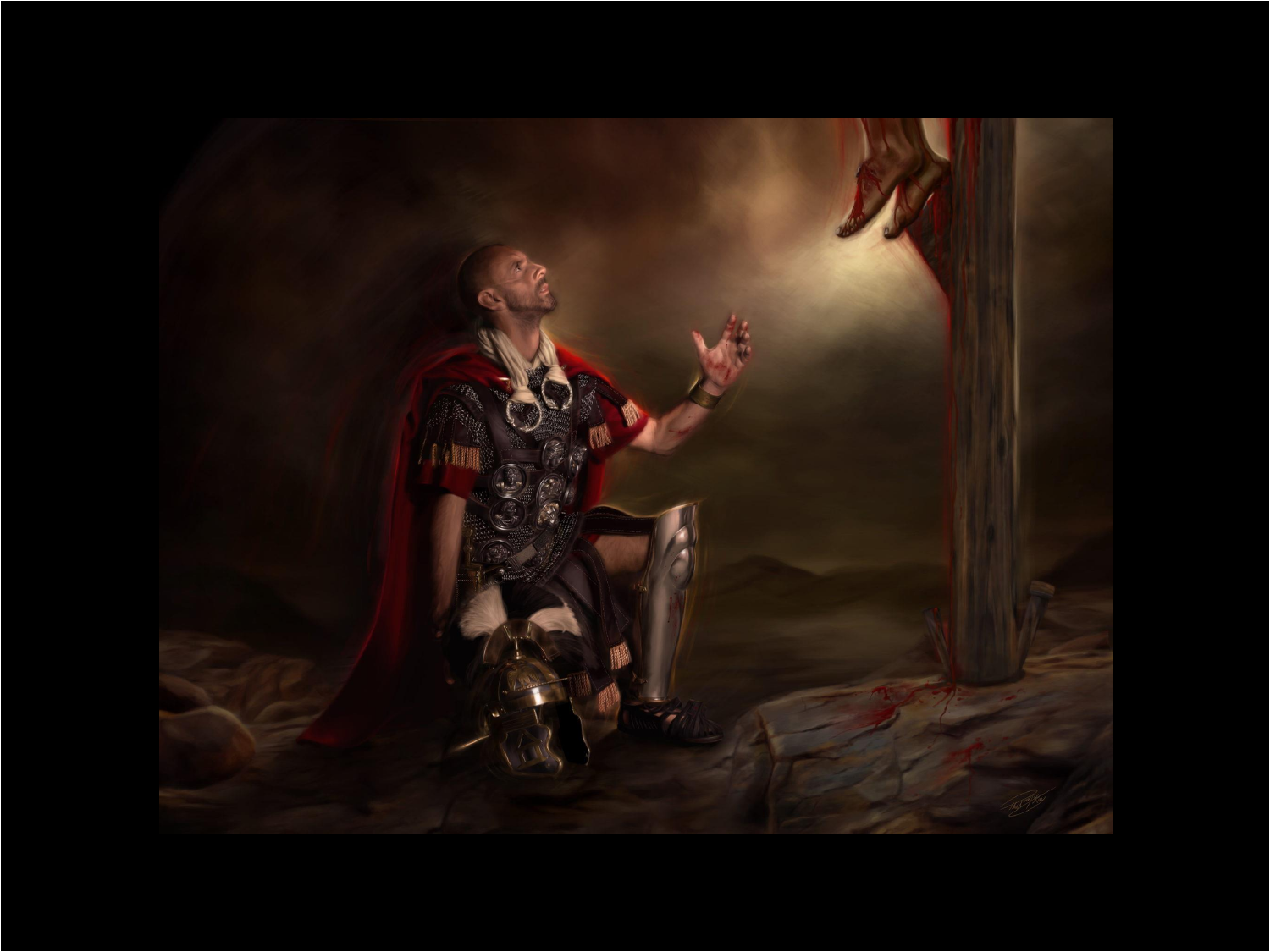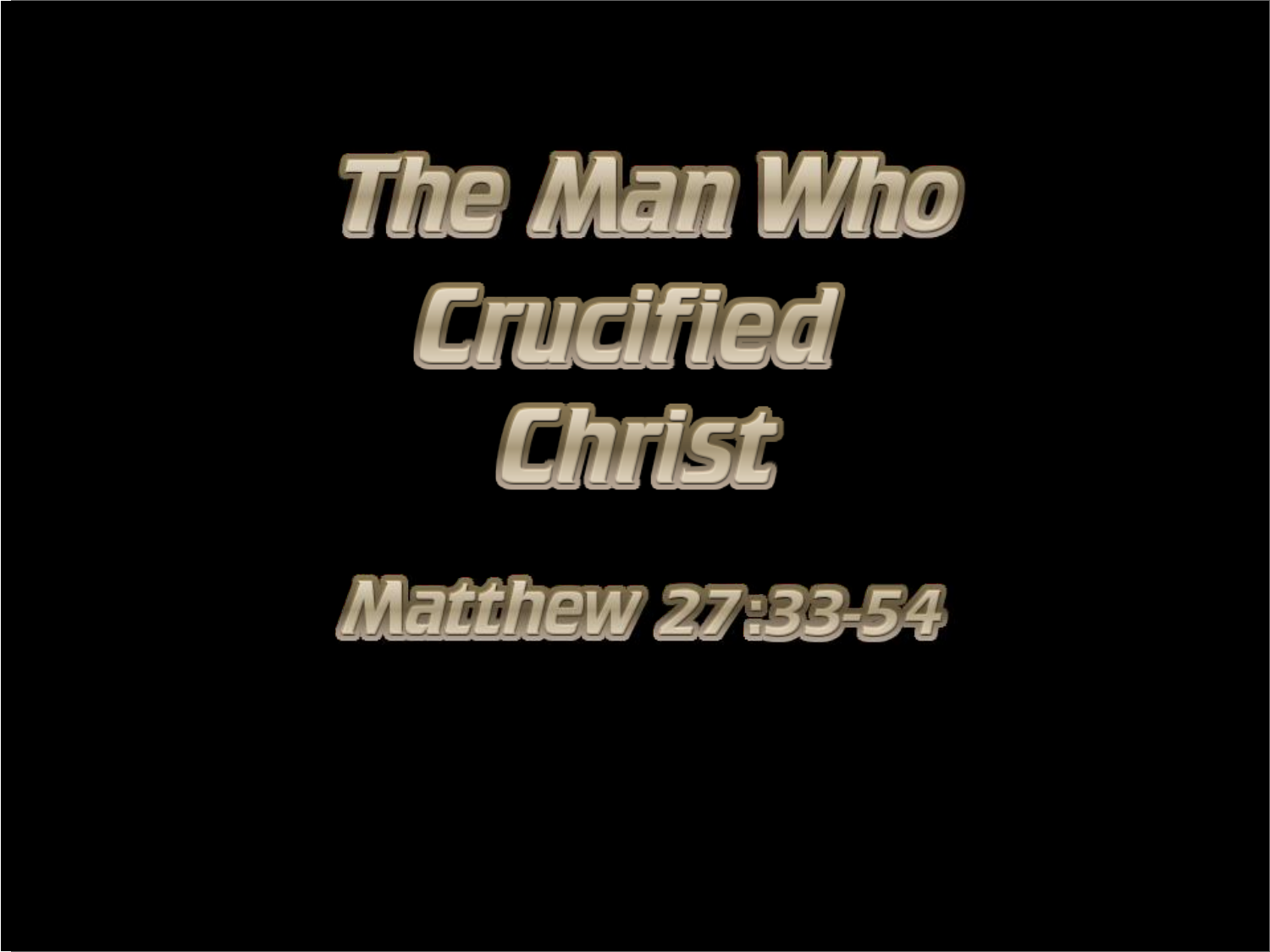

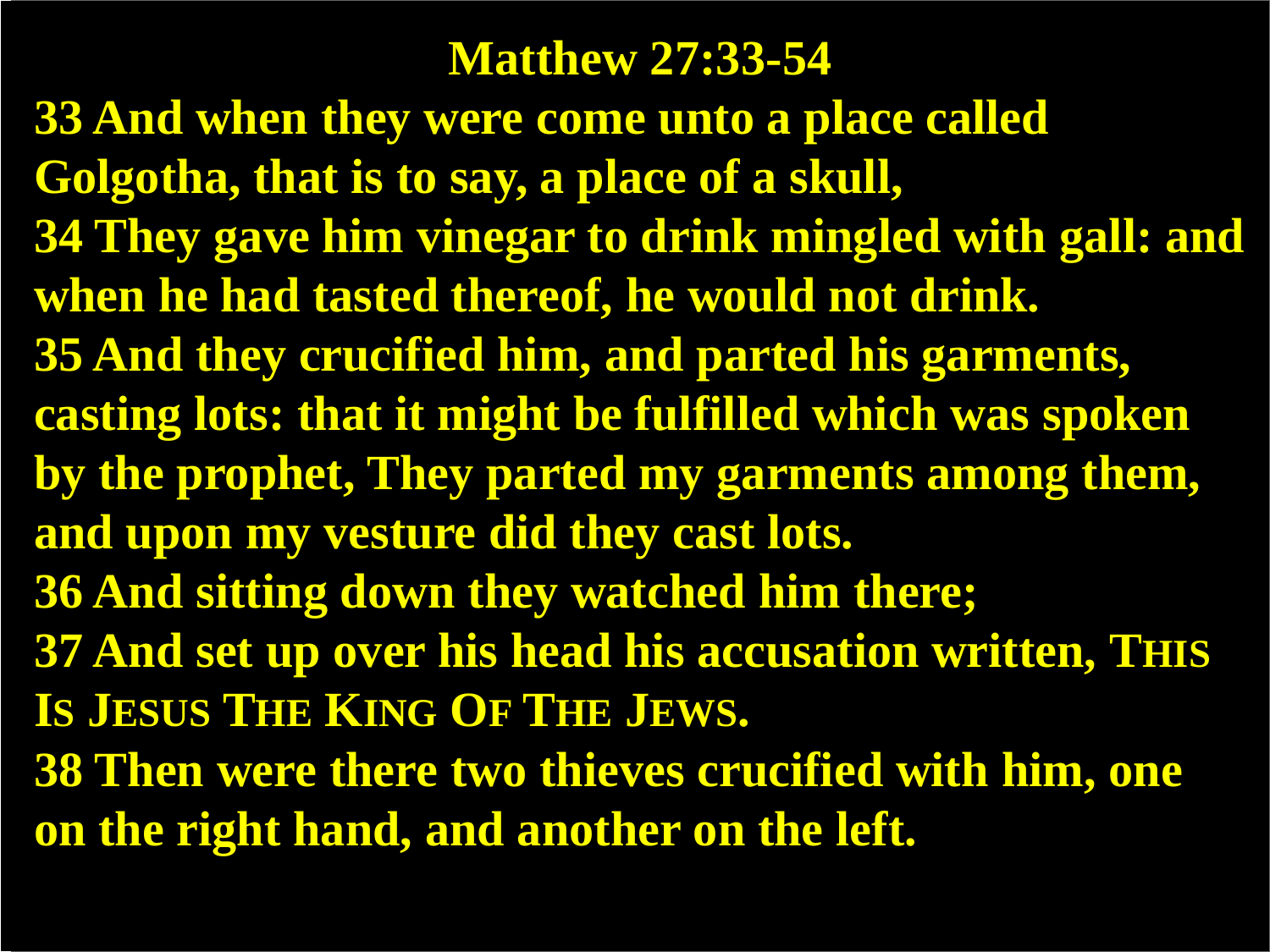#### **Matthew 27:33-54**

**33 And when they were come unto a place called Golgotha, that is to say, a place of a skull, 34 They gave him vinegar to drink mingled with gall: and when he had tasted thereof, he would not drink. 35 And they crucified him, and parted his garments, casting lots: that it might be fulfilled which was spoken by the prophet, They parted my garments among them, and upon my vesture did they cast lots. 36 And sitting down they watched him there; 37 And set up over his head his accusation written, THIS IS JESUS THE KING OF THE JEWS. 38 Then were there two thieves crucified with him, one on the right hand, and another on the left.**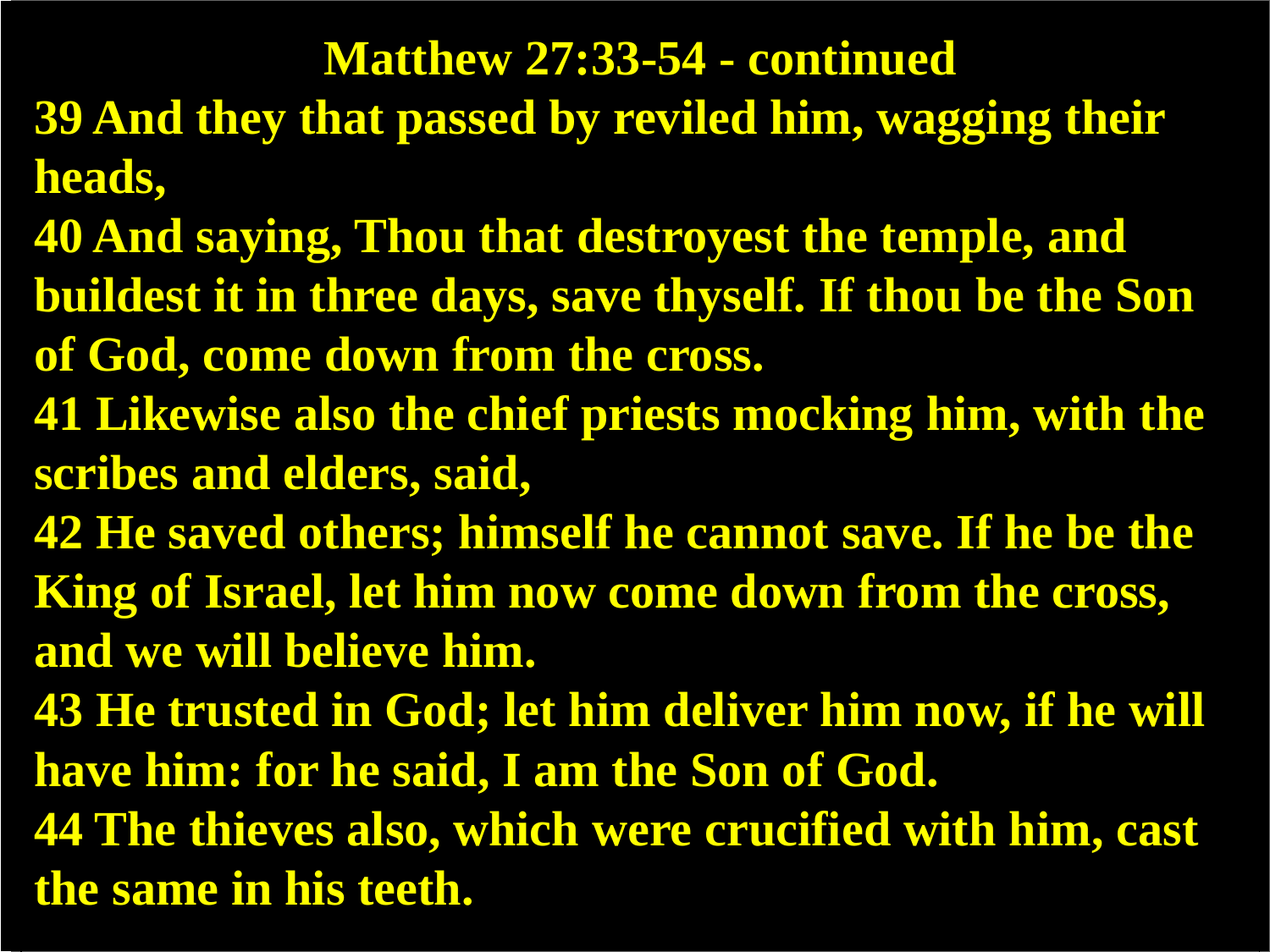#### **Matthew 27:33-54 - continued**

- **39 And they that passed by reviled him, wagging their heads,**
- **40 And saying, Thou that destroyest the temple, and buildest it in three days, save thyself. If thou be the Son of God, come down from the cross.**
- **41 Likewise also the chief priests mocking him, with the scribes and elders, said,**
- **42 He saved others; himself he cannot save. If he be the King of Israel, let him now come down from the cross, and we will believe him.**
- **43 He trusted in God; let him deliver him now, if he will have him: for he said, I am the Son of God.**
- **44 The thieves also, which were crucified with him, cast the same in his teeth.**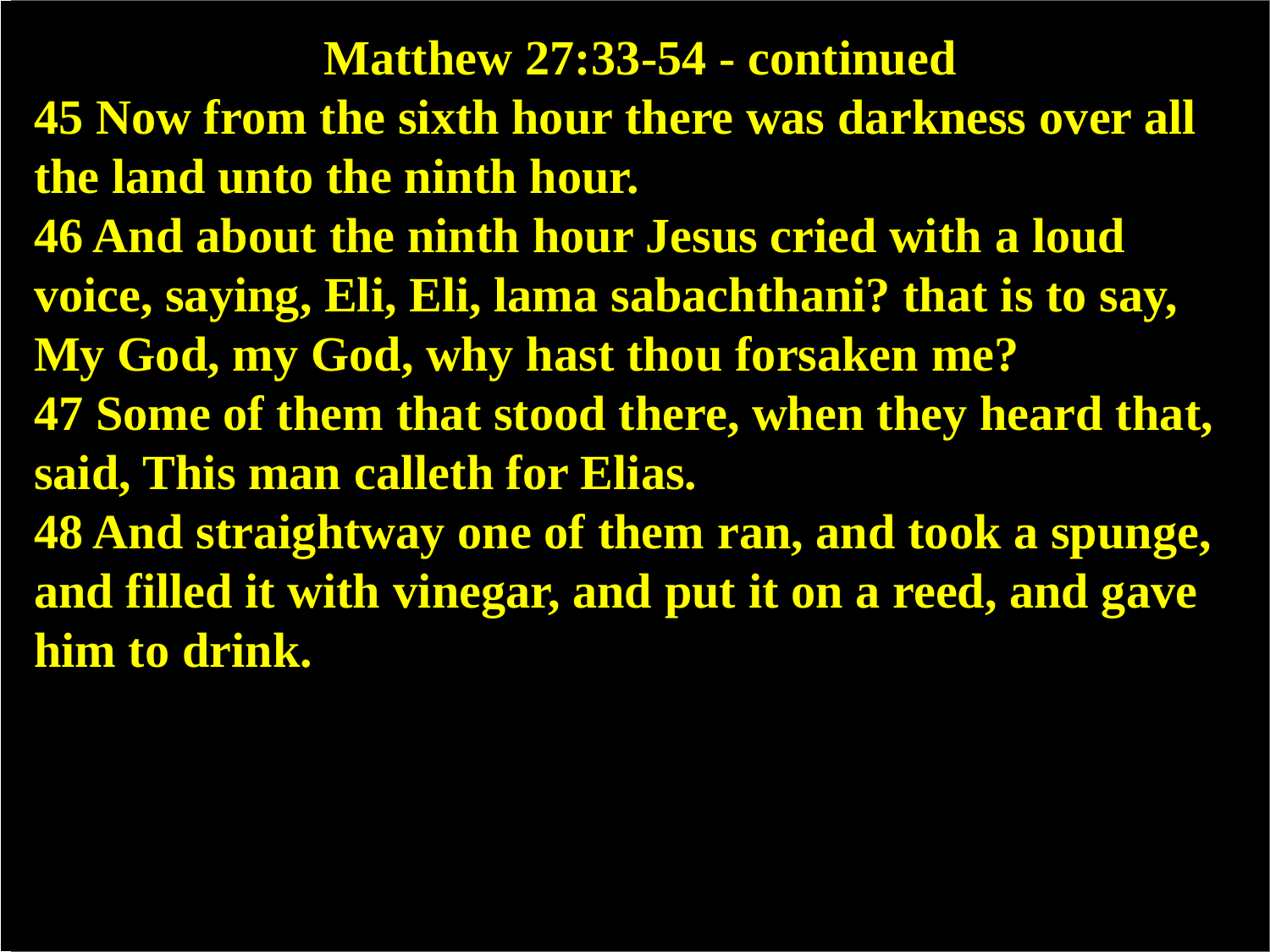**Matthew 27:33-54 - continued 45 Now from the sixth hour there was darkness over all the land unto the ninth hour. 46 And about the ninth hour Jesus cried with a loud voice, saying, Eli, Eli, lama sabachthani? that is to say, My God, my God, why hast thou forsaken me? 47 Some of them that stood there, when they heard that, said, This man calleth for Elias. 48 And straightway one of them ran, and took a spunge, and filled it with vinegar, and put it on a reed, and gave him to drink.**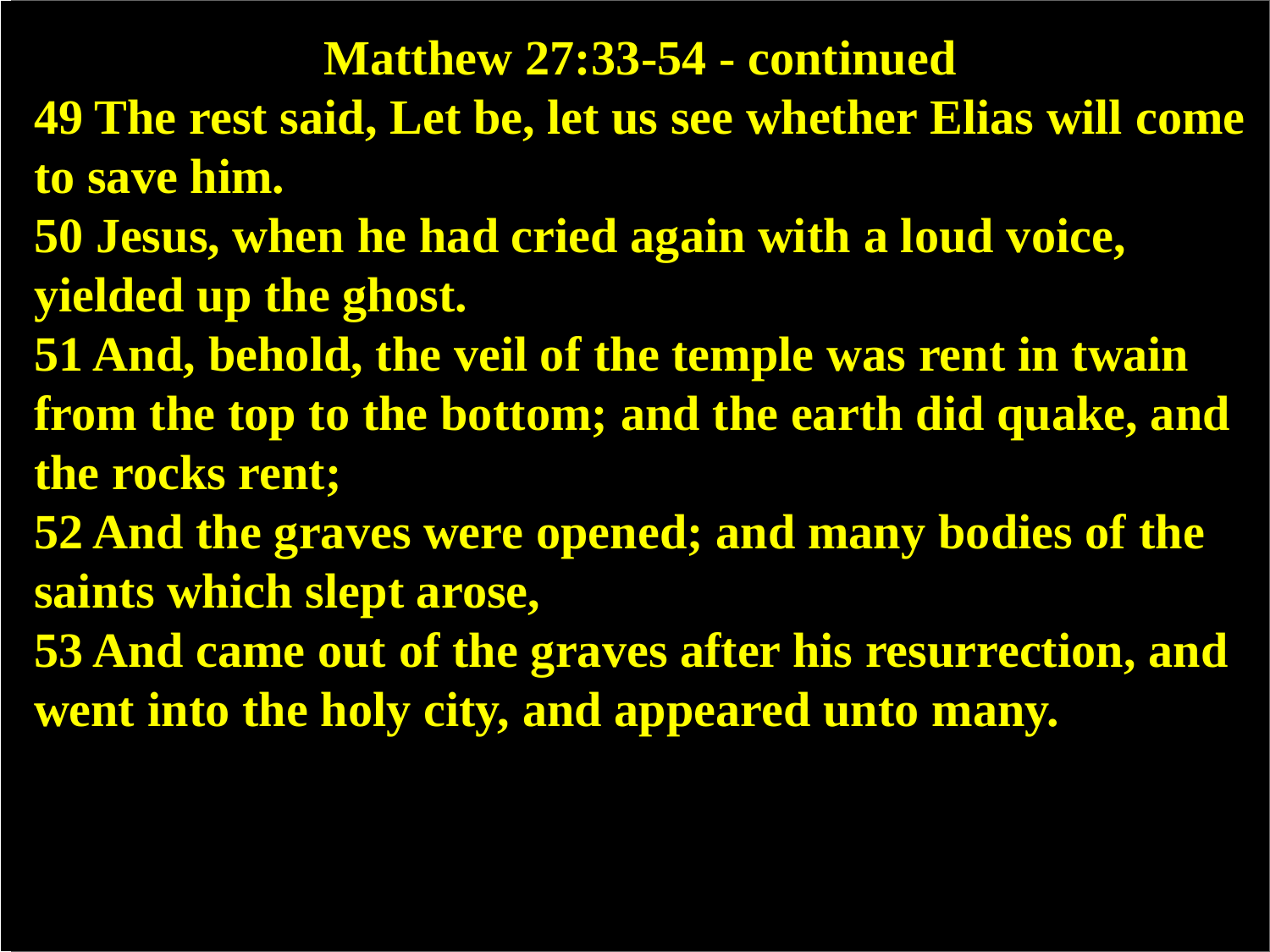#### **Matthew 27:33-54 - continued**

- **49 The rest said, Let be, let us see whether Elias will come to save him.**
- **50 Jesus, when he had cried again with a loud voice, yielded up the ghost.**
- **51 And, behold, the veil of the temple was rent in twain from the top to the bottom; and the earth did quake, and the rocks rent;**
- **52 And the graves were opened; and many bodies of the saints which slept arose,**
- **53 And came out of the graves after his resurrection, and went into the holy city, and appeared unto many.**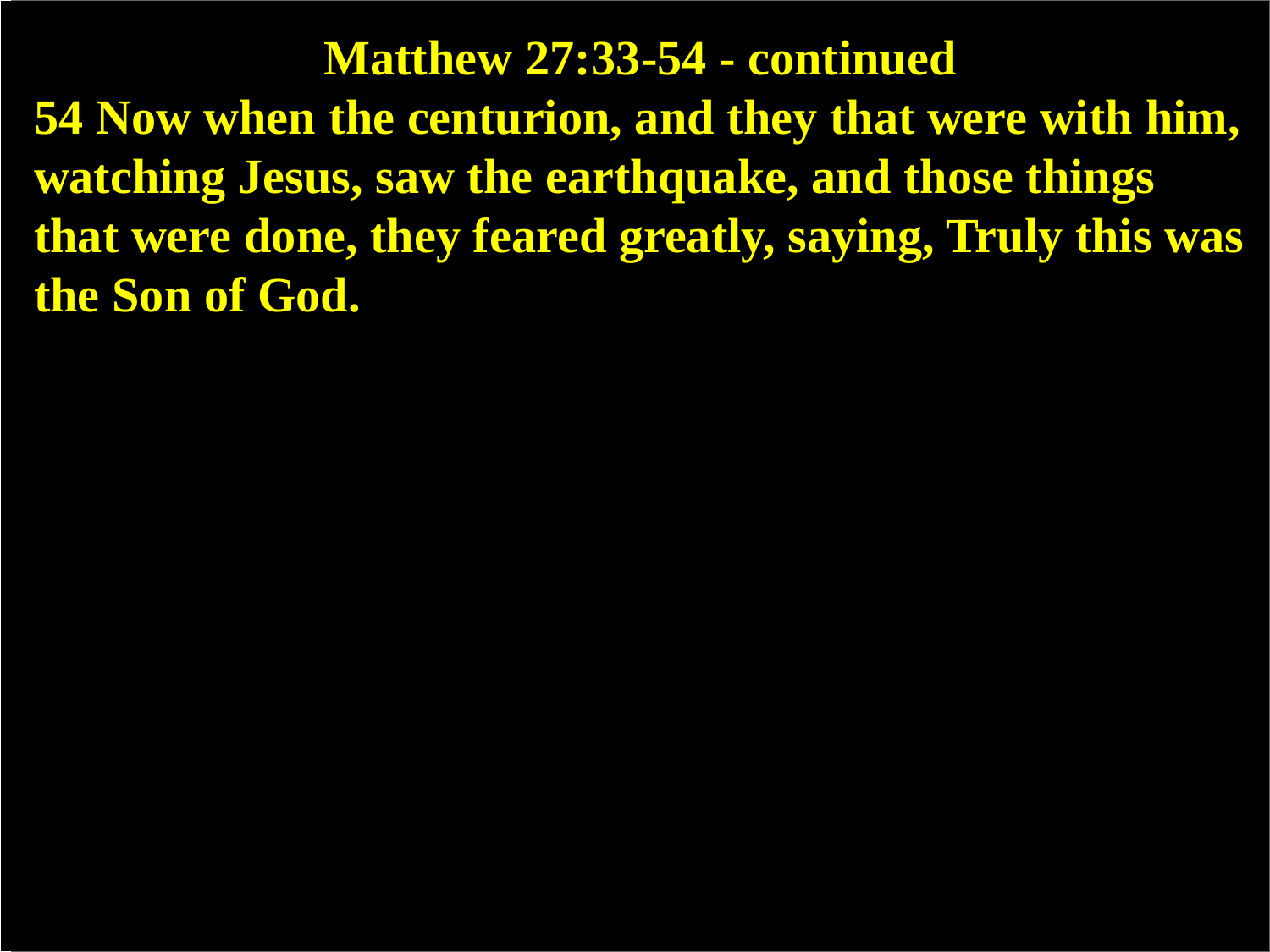**Matthew 27:33-54 - continued 54 Now when the centurion, and they that were with him, watching Jesus, saw the earthquake, and those things that were done, they feared greatly, saying, Truly this was the Son of God.**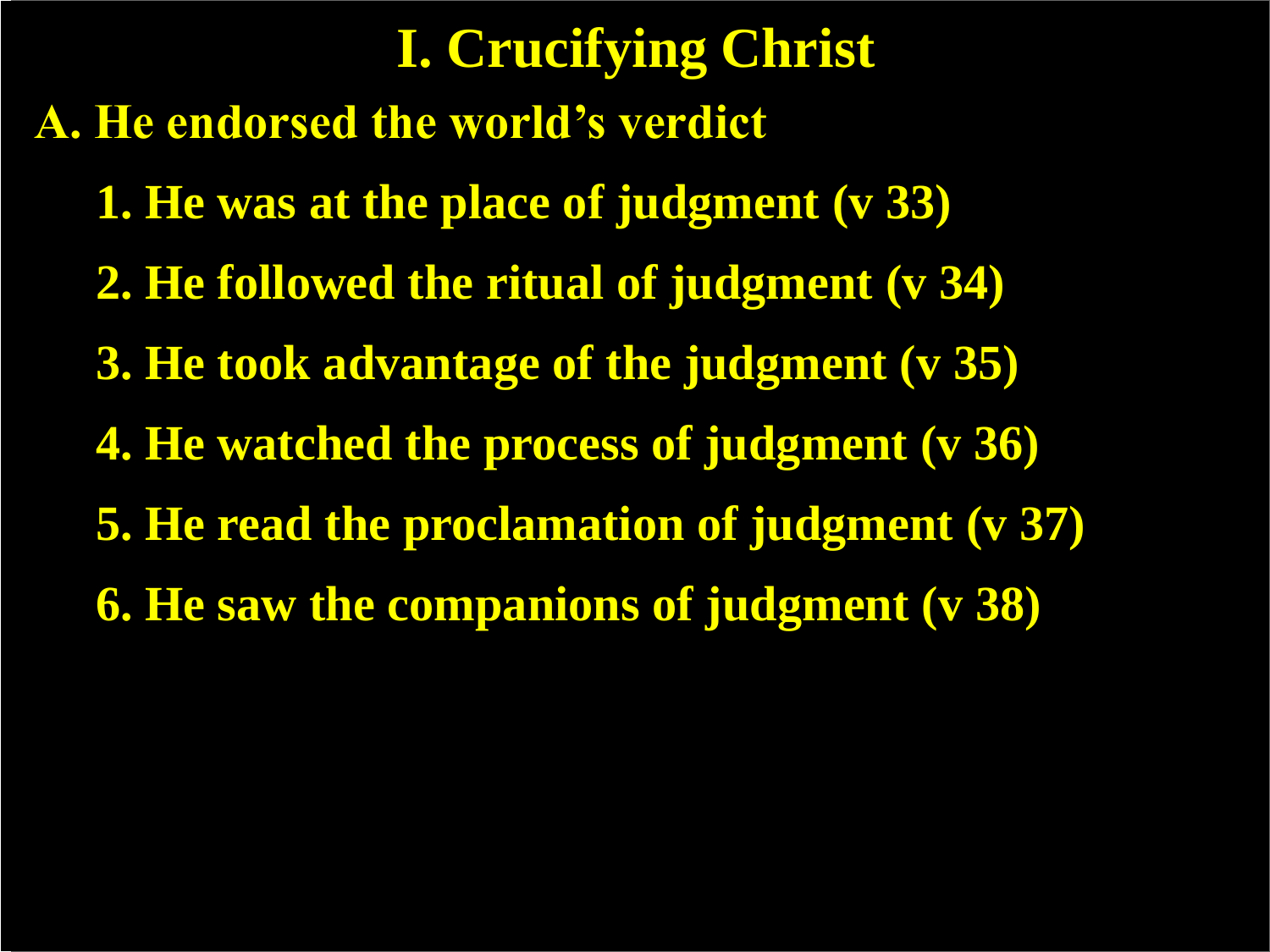#### **A. He endorsed the world's verdict I. Crucifying Christ**

- **1. He was at the place of judgment (v 33)**
- **2. He followed the ritual of judgment (v 34)**
- **3. He took advantage of the judgment (v 35)**
- **4. He watched the process of judgment (v 36)**
- **5. He read the proclamation of judgment (v 37)**
- **6. He saw the companions of judgment (v 38)**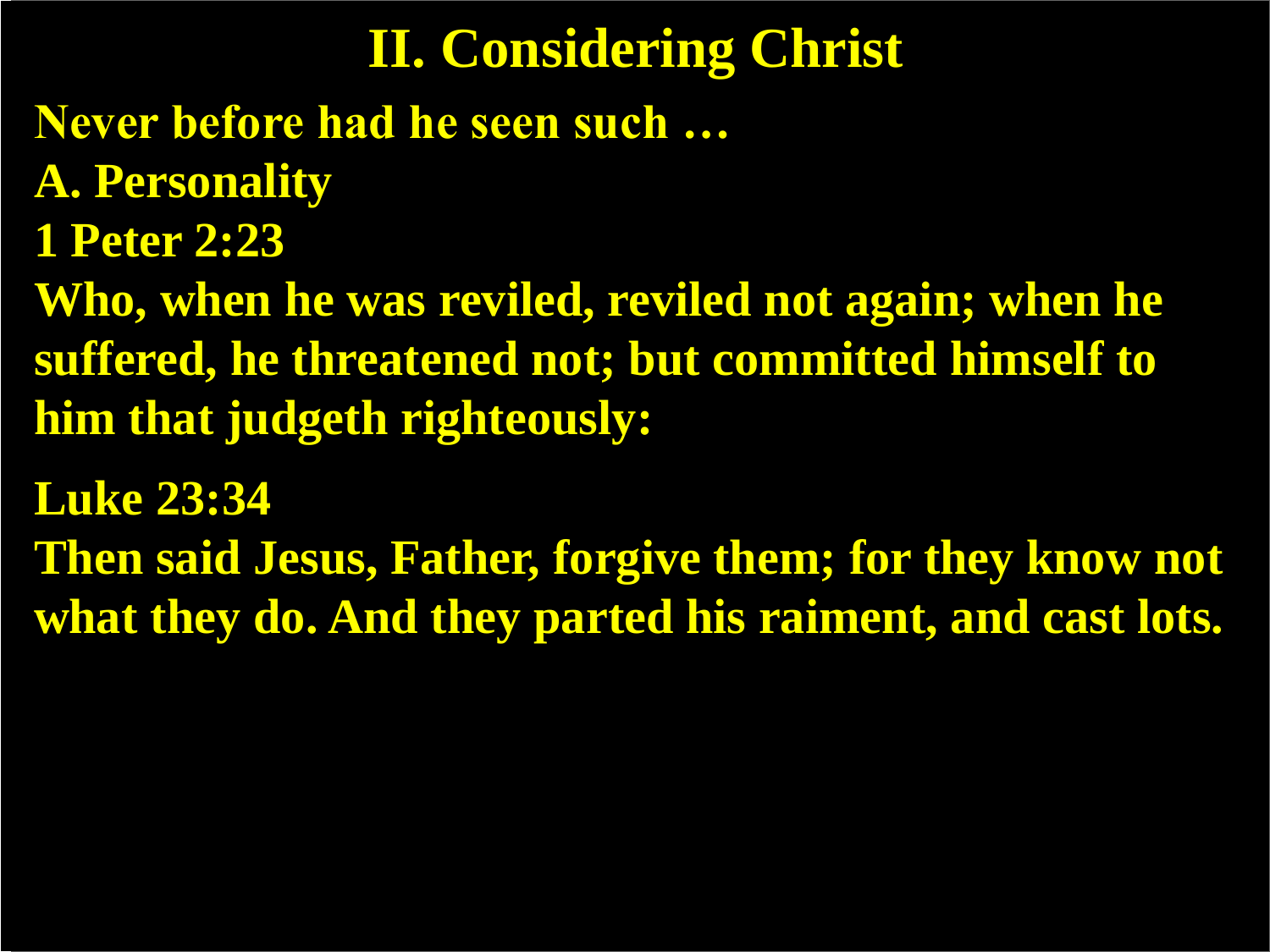**Never before had he seen such …**

- **A. Personality**
- **1 Peter 2:23**

**Who, when he was reviled, reviled not again; when he suffered, he threatened not; but committed himself to him that judgeth righteously:**

**Luke 23:34**

**Then said Jesus, Father, forgive them; for they know not what they do. And they parted his raiment, and cast lots.**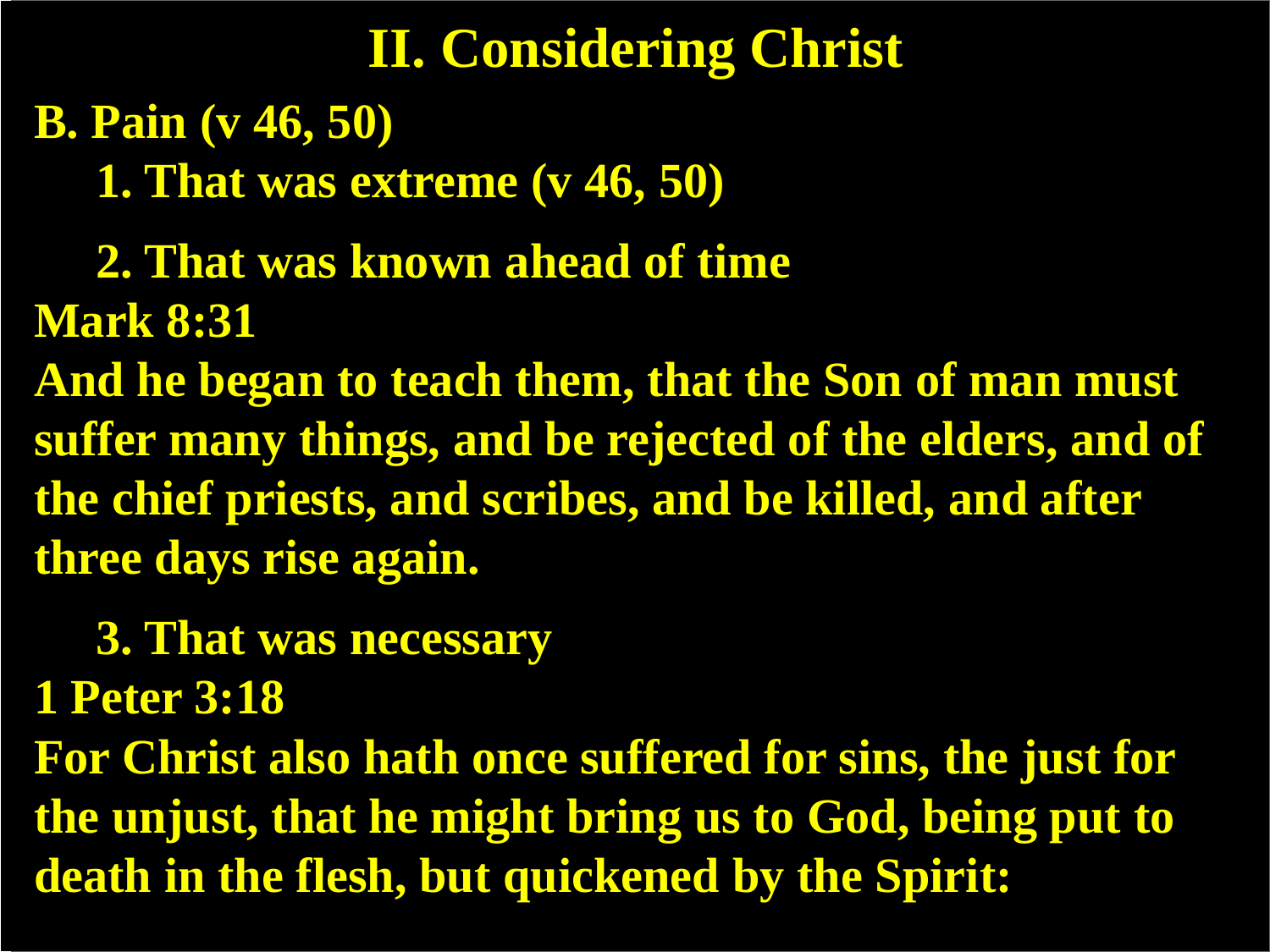**B. Pain (v 46, 50)**

 **1. That was extreme (v 46, 50)**

 **2. That was known ahead of time Mark 8:31**

**And he began to teach them, that the Son of man must suffer many things, and be rejected of the elders, and of the chief priests, and scribes, and be killed, and after three days rise again.**

 **3. That was necessary**

**1 Peter 3:18**

**For Christ also hath once suffered for sins, the just for the unjust, that he might bring us to God, being put to death in the flesh, but quickened by the Spirit:**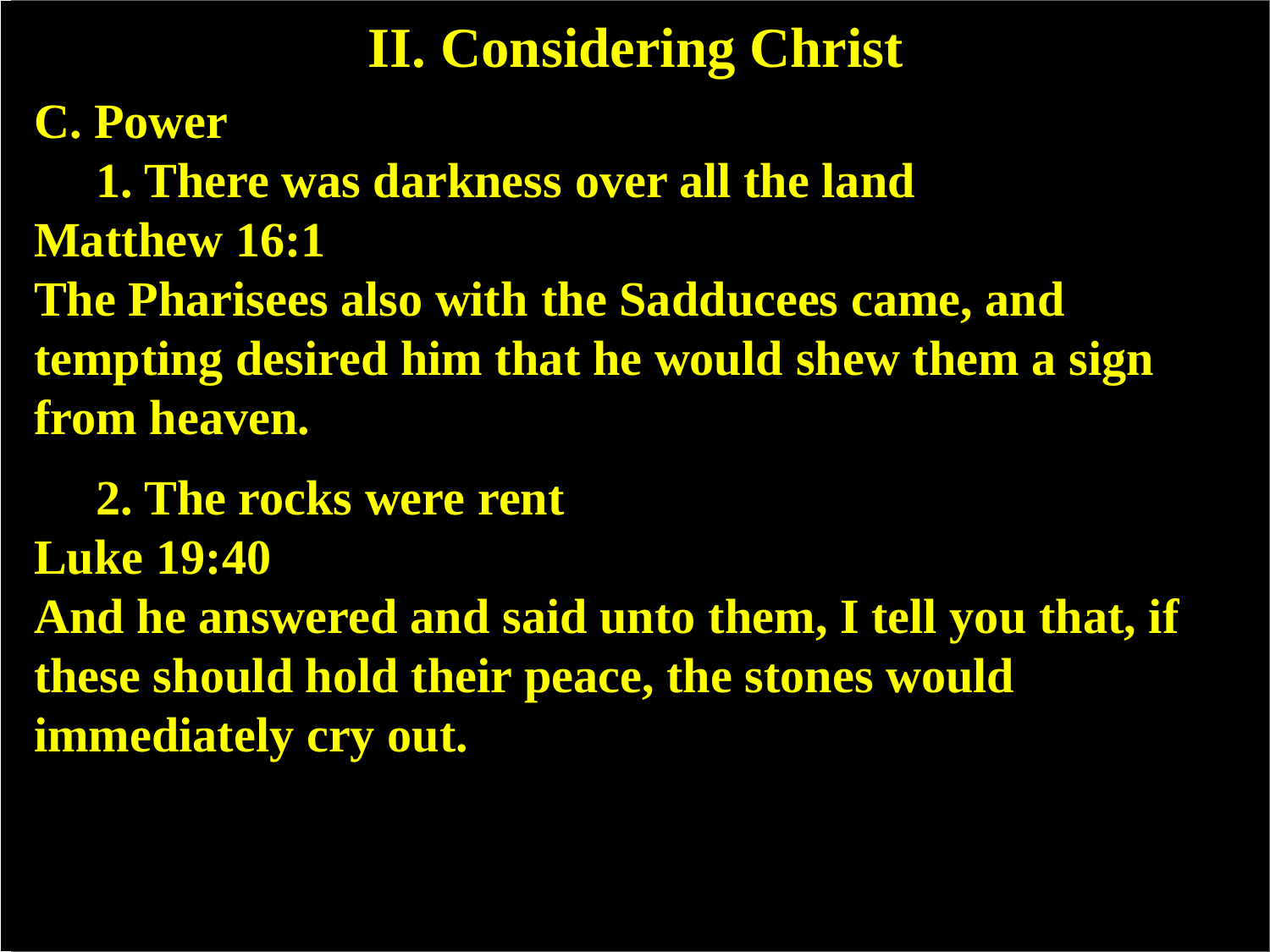**C. Power** 

 **1. There was darkness over all the land Matthew 16:1 The Pharisees also with the Sadducees came, and tempting desired him that he would shew them a sign from heaven.**

 **2. The rocks were rent Luke 19:40 And he answered and said unto them, I tell you that, if these should hold their peace, the stones would immediately cry out.**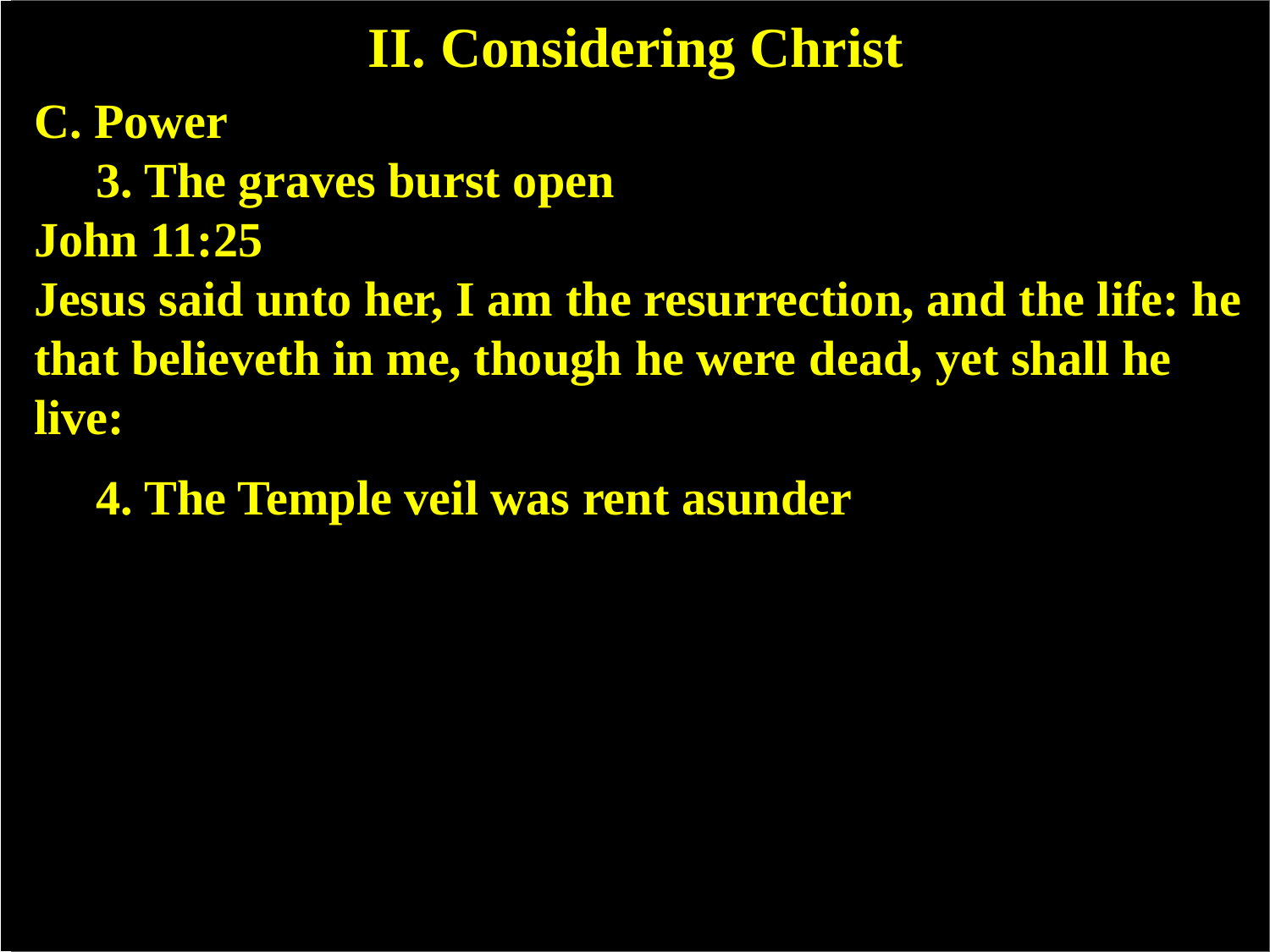**C. Power** 

 **3. The graves burst open**

**John 11:25**

**Jesus said unto her, I am the resurrection, and the life: he that believeth in me, though he were dead, yet shall he live:**

 **4. The Temple veil was rent asunder**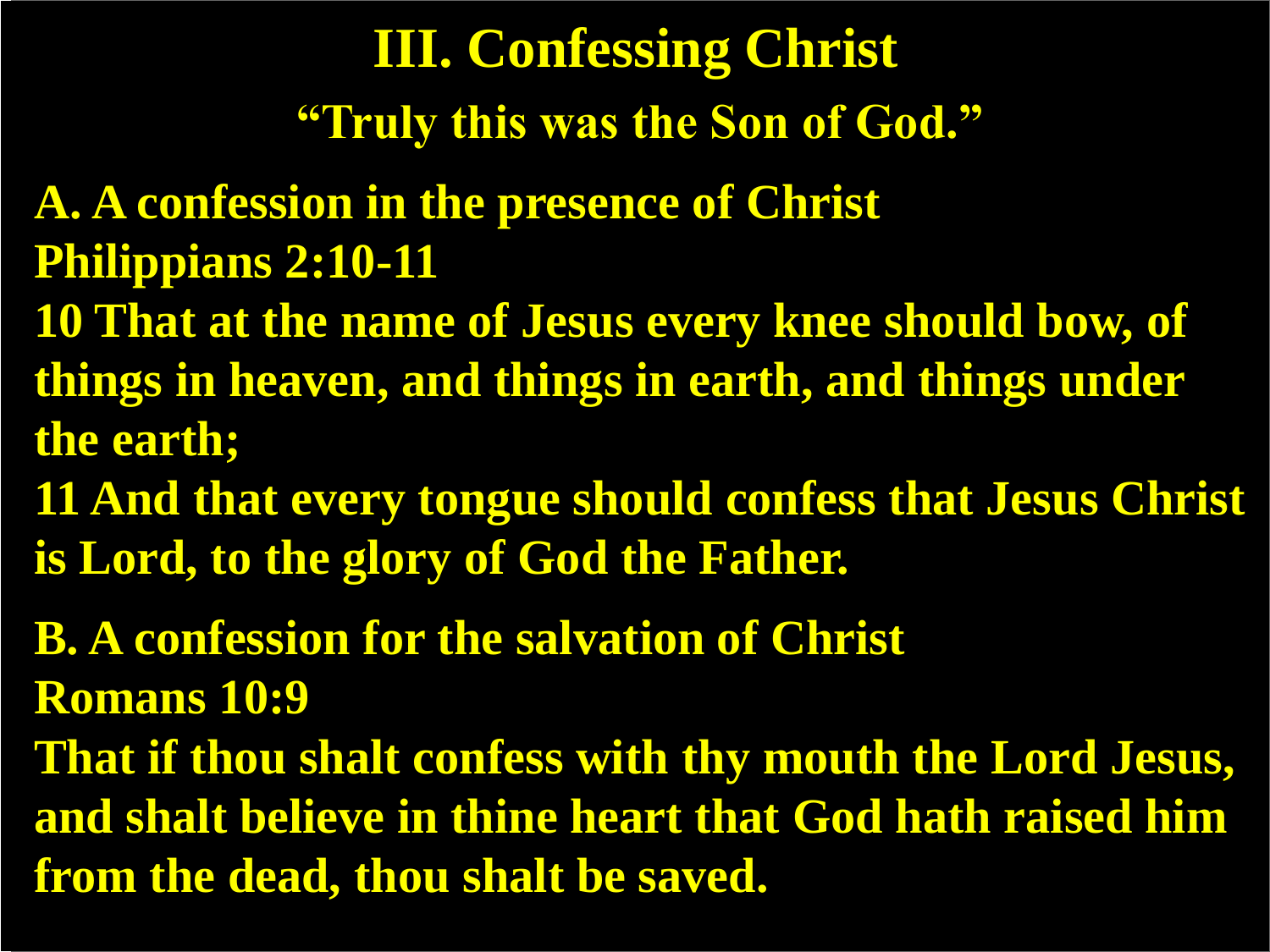# **III. Confessing Christ**

**"Truly this was the Son of God."**

- **A. A confession in the presence of Christ Philippians 2:10-11**
- **10 That at the name of Jesus every knee should bow, of things in heaven, and things in earth, and things under the earth;**
- **11 And that every tongue should confess that Jesus Christ is Lord, to the glory of God the Father.**
- **B. A confession for the salvation of Christ Romans 10:9**
- **That if thou shalt confess with thy mouth the Lord Jesus, and shalt believe in thine heart that God hath raised him from the dead, thou shalt be saved.**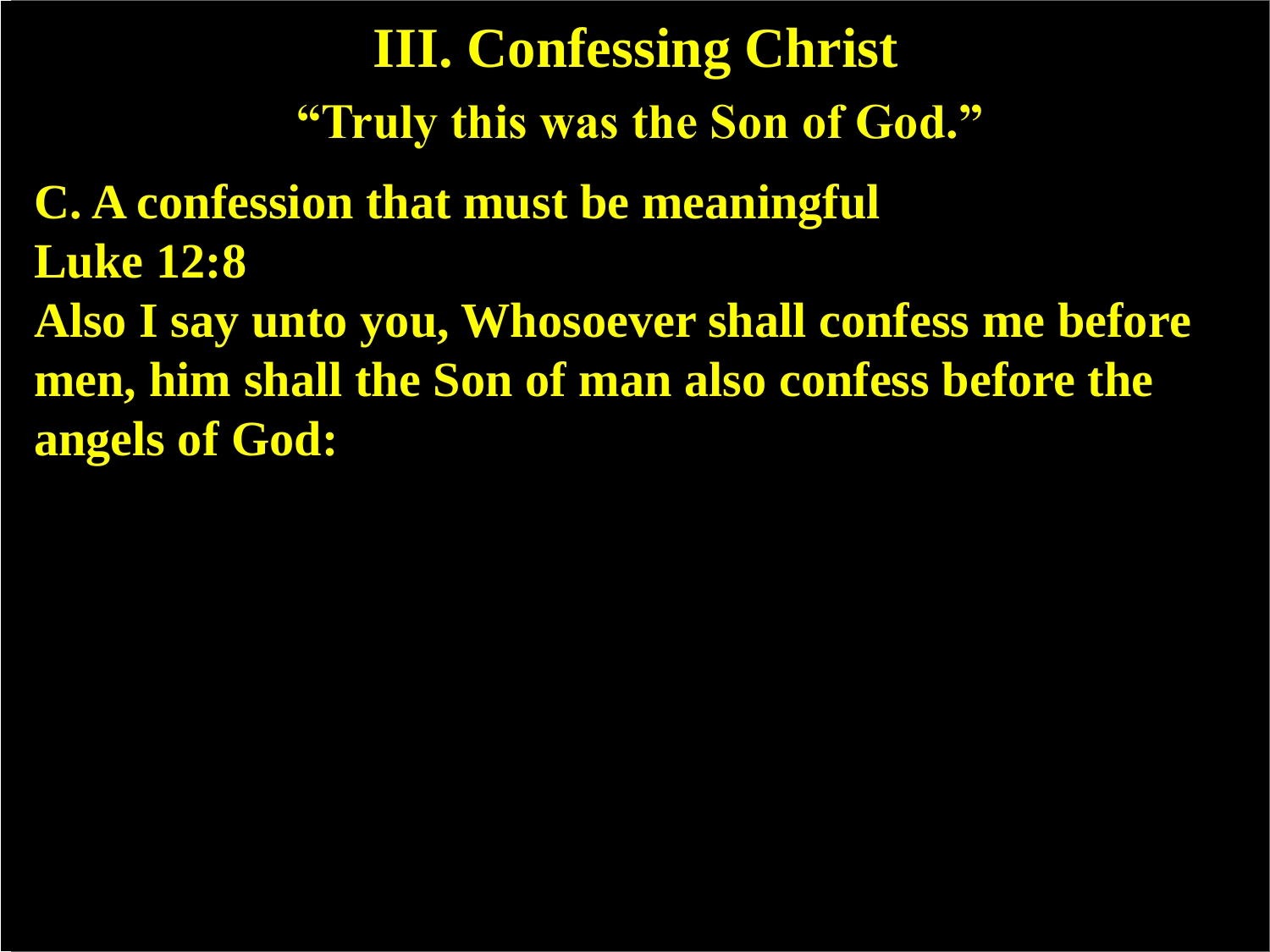**"Truly this was the Son of God." C. A confession that must be meaningful Luke 12:8 Also I say unto you, Whosoever shall confess me before men, him shall the Son of man also confess before the angels of God: III. Confessing Christ**